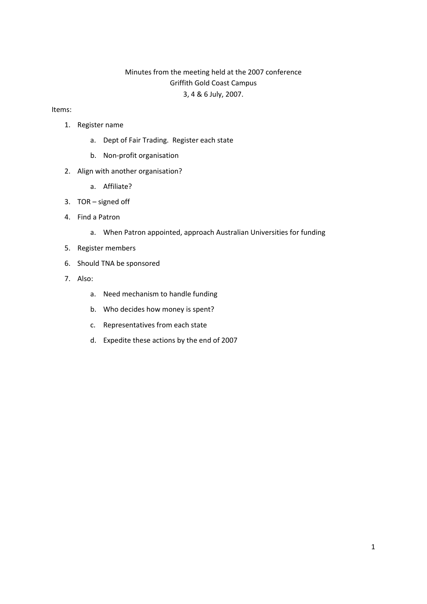# Minutes from the meeting held at the 2007 conference Griffith Gold Coast Campus 3, 4 & 6 July, 2007.

#### Items:

- 1. Register name
	- a. Dept of Fair Trading. Register each state
	- b. Non‐profit organisation
- 2. Align with another organisation?
	- a. Affiliate?
- 3. TOR signed off
- 4. Find a Patron
	- a. When Patron appointed, approach Australian Universities for funding
- 5. Register members
- 6. Should TNA be sponsored
- 7. Also:
	- a. Need mechanism to handle funding
	- b. Who decides how money is spent?
	- c. Representatives from each state
	- d. Expedite these actions by the end of 2007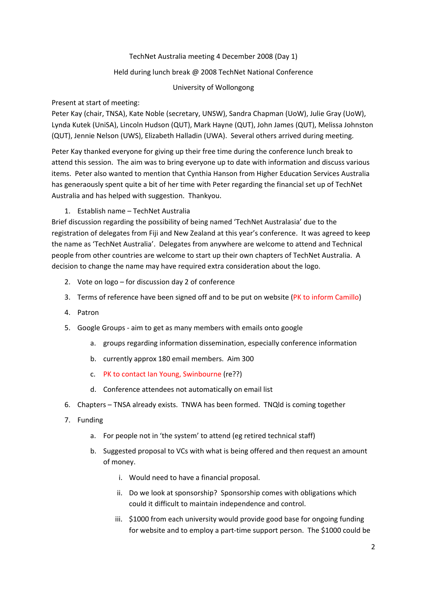# TechNet Australia meeting 4 December 2008 (Day 1)

# Held during lunch break @ 2008 TechNet National Conference

# University of Wollongong

# Present at start of meeting:

Peter Kay (chair, TNSA), Kate Noble (secretary, UNSW), Sandra Chapman (UoW), Julie Gray (UoW), Lynda Kutek (UniSA), Lincoln Hudson (QUT), Mark Hayne (QUT), John James (QUT), Melissa Johnston (QUT), Jennie Nelson (UWS), Elizabeth Halladin (UWA). Several others arrived during meeting.

Peter Kay thanked everyone for giving up their free time during the conference lunch break to attend this session. The aim was to bring everyone up to date with information and discuss various items. Peter also wanted to mention that Cynthia Hanson from Higher Education Services Australia has generaously spent quite a bit of her time with Peter regarding the financial set up of TechNet Australia and has helped with suggestion. Thankyou.

# 1. Establish name – TechNet Australia

Brief discussion regarding the possibility of being named 'TechNet Australasia' due to the registration of delegates from Fiji and New Zealand at this year's conference. It was agreed to keep the name as 'TechNet Australia'. Delegates from anywhere are welcome to attend and Technical people from other countries are welcome to start up their own chapters of TechNet Australia. A decision to change the name may have required extra consideration about the logo.

- 2. Vote on logo for discussion day 2 of conference
- 3. Terms of reference have been signed off and to be put on website (PK to inform Camillo)
- 4. Patron
- 5. Google Groups ‐ aim to get as many members with emails onto google
	- a. groups regarding information dissemination, especially conference information
	- b. currently approx 180 email members. Aim 300
	- c. PK to contact Ian Young, Swinbourne (re??)
	- d. Conference attendees not automatically on email list
- 6. Chapters TNSA already exists. TNWA has been formed. TNQld is coming together
- 7. Funding
	- a. For people not in 'the system' to attend (eg retired technical staff)
	- b. Suggested proposal to VCs with what is being offered and then request an amount of money.
		- i. Would need to have a financial proposal.
		- ii. Do we look at sponsorship? Sponsorship comes with obligations which could it difficult to maintain independence and control.
		- iii. \$1000 from each university would provide good base for ongoing funding for website and to employ a part-time support person. The \$1000 could be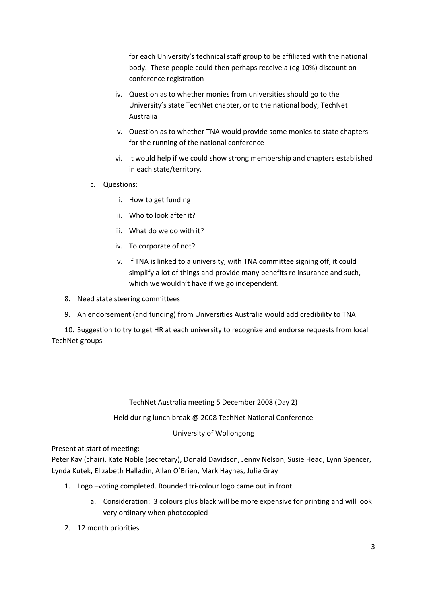for each University's technical staff group to be affiliated with the national body. These people could then perhaps receive a (eg 10%) discount on conference registration

- iv. Question as to whether monies from universities should go to the University's state TechNet chapter, or to the national body, TechNet Australia
- v. Question as to whether TNA would provide some monies to state chapters for the running of the national conference
- vi. It would help if we could show strong membership and chapters established in each state/territory.
- c. Questions:
	- i. How to get funding
	- ii. Who to look after it?
	- iii. What do we do with it?
	- iv. To corporate of not?
	- v. If TNA is linked to a university, with TNA committee signing off, it could simplify a lot of things and provide many benefits re insurance and such, which we wouldn't have if we go independent.
- 8. Need state steering committees
- 9. An endorsement (and funding) from Universities Australia would add credibility to TNA

10. Suggestion to try to get HR at each university to recognize and endorse requests from local TechNet groups

# TechNet Australia meeting 5 December 2008 (Day 2)

# Held during lunch break @ 2008 TechNet National Conference

# University of Wollongong

Present at start of meeting:

Peter Kay (chair), Kate Noble (secretary), Donald Davidson, Jenny Nelson, Susie Head, Lynn Spencer, Lynda Kutek, Elizabeth Halladin, Allan O'Brien, Mark Haynes, Julie Gray

- 1. Logo –voting completed. Rounded tri‐colour logo came out in front
	- a. Consideration: 3 colours plus black will be more expensive for printing and will look very ordinary when photocopied
- 2. 12 month priorities